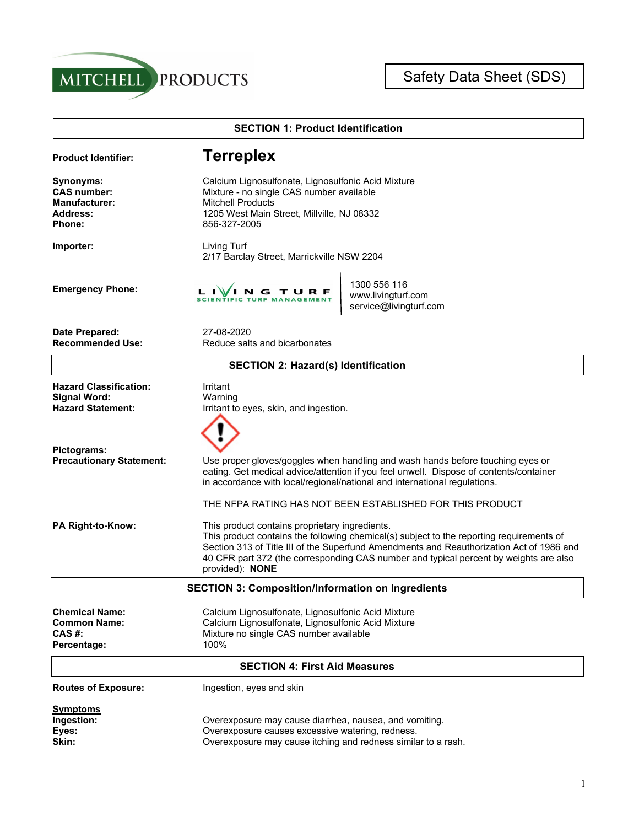



| <b>SECTION 1: Product Identification</b>                                                    |                                                                                                                                                                                                                                                                                                                                                                                                                 |  |  |  |
|---------------------------------------------------------------------------------------------|-----------------------------------------------------------------------------------------------------------------------------------------------------------------------------------------------------------------------------------------------------------------------------------------------------------------------------------------------------------------------------------------------------------------|--|--|--|
| <b>Product Identifier:</b>                                                                  | <b>Terreplex</b>                                                                                                                                                                                                                                                                                                                                                                                                |  |  |  |
| Synonyms:<br><b>CAS number:</b><br><b>Manufacturer:</b><br><b>Address:</b><br><b>Phone:</b> | Calcium Lignosulfonate, Lignosulfonic Acid Mixture<br>Mixture - no single CAS number available<br><b>Mitchell Products</b><br>1205 West Main Street, Millville, NJ 08332<br>856-327-2005                                                                                                                                                                                                                        |  |  |  |
| Importer:                                                                                   | Living Turf<br>2/17 Barclay Street, Marrickville NSW 2204                                                                                                                                                                                                                                                                                                                                                       |  |  |  |
| <b>Emergency Phone:</b>                                                                     | 1300 556 116<br>N G T U R F<br>www.livingturf.com<br>service@livingturf.com                                                                                                                                                                                                                                                                                                                                     |  |  |  |
| Date Prepared:<br><b>Recommended Use:</b>                                                   | 27-08-2020<br>Reduce salts and bicarbonates                                                                                                                                                                                                                                                                                                                                                                     |  |  |  |
|                                                                                             | <b>SECTION 2: Hazard(s) Identification</b>                                                                                                                                                                                                                                                                                                                                                                      |  |  |  |
| <b>Hazard Classification:</b><br><b>Signal Word:</b><br><b>Hazard Statement:</b>            | Irritant<br>Warning<br>Irritant to eyes, skin, and ingestion.                                                                                                                                                                                                                                                                                                                                                   |  |  |  |
| Pictograms:<br><b>Precautionary Statement:</b>                                              | Use proper gloves/goggles when handling and wash hands before touching eyes or<br>eating. Get medical advice/attention if you feel unwell. Dispose of contents/container<br>in accordance with local/regional/national and international regulations.                                                                                                                                                           |  |  |  |
| PA Right-to-Know:                                                                           | THE NFPA RATING HAS NOT BEEN ESTABLISHED FOR THIS PRODUCT<br>This product contains proprietary ingredients.<br>This product contains the following chemical(s) subject to the reporting requirements of<br>Section 313 of Title III of the Superfund Amendments and Reauthorization Act of 1986 and<br>40 CFR part 372 (the corresponding CAS number and typical percent by weights are also<br>provided): NONE |  |  |  |
| <b>SECTION 3: Composition/Information on Ingredients</b>                                    |                                                                                                                                                                                                                                                                                                                                                                                                                 |  |  |  |
| <b>Chemical Name:</b><br><b>Common Name:</b><br><b>CAS#:</b><br>Percentage:                 | Calcium Lignosulfonate, Lignosulfonic Acid Mixture<br>Calcium Lignosulfonate, Lignosulfonic Acid Mixture<br>Mixture no single CAS number available<br>100%                                                                                                                                                                                                                                                      |  |  |  |
|                                                                                             | <b>SECTION 4: First Aid Measures</b>                                                                                                                                                                                                                                                                                                                                                                            |  |  |  |
| <b>Routes of Exposure:</b>                                                                  | Ingestion, eyes and skin                                                                                                                                                                                                                                                                                                                                                                                        |  |  |  |
| <b>Symptoms</b><br>Ingestion:<br>Eyes:<br>Skin:                                             | Overexposure may cause diarrhea, nausea, and vomiting.<br>Overexposure causes excessive watering, redness.<br>Overexposure may cause itching and redness similar to a rash.                                                                                                                                                                                                                                     |  |  |  |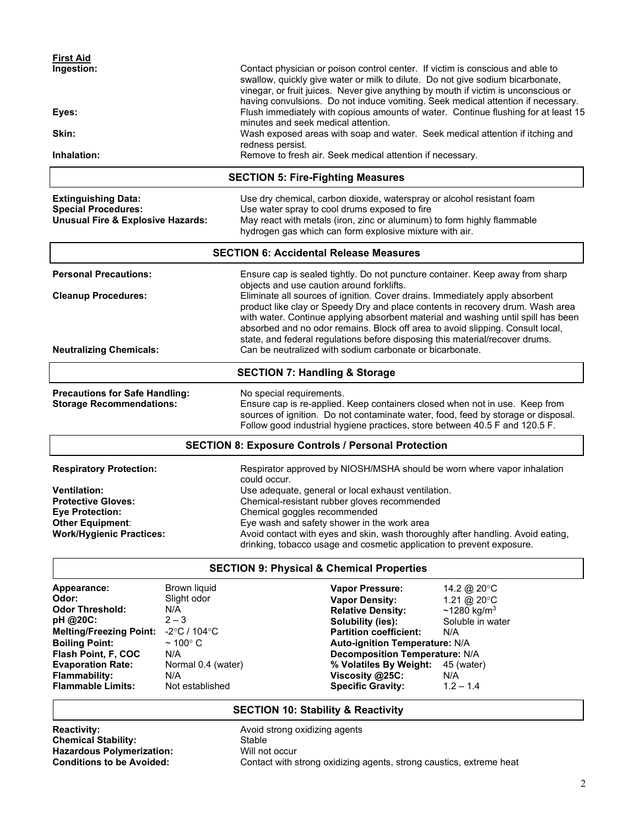| <b>First Aid</b><br>Ingestion: | Contact physician or poison control center. If victim is conscious and able to<br>swallow, quickly give water or milk to dilute. Do not give sodium bicarbonate,<br>vinegar, or fruit juices. Never give anything by mouth if victim is unconscious or<br>having convulsions. Do not induce vomiting. Seek medical attention if necessary. |
|--------------------------------|--------------------------------------------------------------------------------------------------------------------------------------------------------------------------------------------------------------------------------------------------------------------------------------------------------------------------------------------|
| Eyes:                          | Flush immediately with copious amounts of water. Continue flushing for at least 15<br>minutes and seek medical attention.                                                                                                                                                                                                                  |
| Skin:                          | Wash exposed areas with soap and water. Seek medical attention if itching and<br>redness persist.                                                                                                                                                                                                                                          |
| Inhalation:                    | Remove to fresh air. Seek medical attention if necessary.                                                                                                                                                                                                                                                                                  |

# **SECTION 5: Fire-Fighting Measures**

| <b>Extinguishing Data:</b>        | Use dry chemical, carbon dioxide, waterspray or alcohol resistant foam                                                             |
|-----------------------------------|------------------------------------------------------------------------------------------------------------------------------------|
| <b>Special Procedures:</b>        | Use water spray to cool drums exposed to fire                                                                                      |
| Unusual Fire & Explosive Hazards: | May react with metals (iron, zinc or aluminum) to form highly flammable<br>hydrogen gas which can form explosive mixture with air. |

### **SECTION 6: Accidental Release Measures**

|                                | <b>SECTION 7: Handling &amp; Storage</b>                                                                                                                       |  |
|--------------------------------|----------------------------------------------------------------------------------------------------------------------------------------------------------------|--|
| <b>Neutralizing Chemicals:</b> | Can be neutralized with sodium carbonate or bicarbonate.                                                                                                       |  |
|                                | absorbed and no odor remains. Block off area to avoid slipping. Consult local,<br>state, and federal regulations before disposing this material/recover drums. |  |
|                                | with water. Continue applying absorbent material and washing until spill has been                                                                              |  |
|                                | product like clay or Speedy Dry and place contents in recovery drum. Wash area                                                                                 |  |
| <b>Cleanup Procedures:</b>     | Eliminate all sources of ignition. Cover drains. Immediately apply absorbent                                                                                   |  |
|                                | objects and use caution around forklifts.                                                                                                                      |  |
| <b>Personal Precautions:</b>   | Ensure cap is sealed tightly. Do not puncture container. Keep away from sharp                                                                                  |  |

**Precautions for Safe Handling:** No special requirements.<br> **Storage Recommendations:** Ensure cap is re-applied. Ensure cap is re-applied. Keep containers closed when not in use. Keep from sources of ignition. Do not contaminate water, food, feed by storage or disposal. Follow good industrial hygiene practices, store between 40.5 F and 120.5 F.

# **SECTION 8: Exposure Controls / Personal Protection**

| <b>Respiratory Protection:</b>  | Respirator approved by NIOSH/MSHA should be worn where vapor inhalation<br>could occur.                                                                  |
|---------------------------------|----------------------------------------------------------------------------------------------------------------------------------------------------------|
| <b>Ventilation:</b>             | Use adequate, general or local exhaust ventilation.                                                                                                      |
| <b>Protective Gloves:</b>       | Chemical-resistant rubber gloves recommended                                                                                                             |
| <b>Eve Protection:</b>          | Chemical goggles recommended                                                                                                                             |
| <b>Other Equipment:</b>         | Eye wash and safety shower in the work area                                                                                                              |
| <b>Work/Hygienic Practices:</b> | Avoid contact with eyes and skin, wash thoroughly after handling. Avoid eating,<br>drinking, tobacco usage and cosmetic application to prevent exposure. |

## **SECTION 9: Physical & Chemical Properties**

| Appearance:                    | Brown liquid            | <b>Vapor Pressure:</b>                | 14.2 @ 20 $\degree$ C |  |
|--------------------------------|-------------------------|---------------------------------------|-----------------------|--|
| Odor:                          | Slight odor             | <b>Vapor Density:</b>                 | 1.21 @ 20 $\degree$ C |  |
| <b>Odor Threshold:</b>         | N/A                     | <b>Relative Density:</b>              | $~1280~{\rm kg/m^3}$  |  |
| pH @20C:                       | $2 - 3$                 | Solubility (ies):                     | Soluble in water      |  |
| <b>Melting/Freezing Point:</b> | -2°C / 104°C            | <b>Partition coefficient:</b>         | N/A                   |  |
| <b>Boiling Point:</b>          | $\sim$ 100 $^{\circ}$ C | <b>Auto-ignition Temperature: N/A</b> |                       |  |
| Flash Point, F, COC            | N/A                     | <b>Decomposition Temperature: N/A</b> |                       |  |
| <b>Evaporation Rate:</b>       | Normal 0.4 (water)      | % Volatiles By Weight:                | 45 (water)            |  |
| <b>Flammability:</b>           | N/A                     | Viscosity @25C:                       | N/A                   |  |
| <b>Flammable Limits:</b>       | Not established         | <b>Specific Gravity:</b>              | $1.2 - 1.4$           |  |

# **SECTION 10: Stability & Reactivity**

**Reactivity:** Avoid strong oxidizing agents<br> **Chemical Stability:** Stable<br>
Stable **Chemical Stability:** Stable Stable<br> **Consumerization:** Will not occur **Hazardous Polymerization:**<br>Conditions to be Avoided:

Contact with strong oxidizing agents, strong caustics, extreme heat